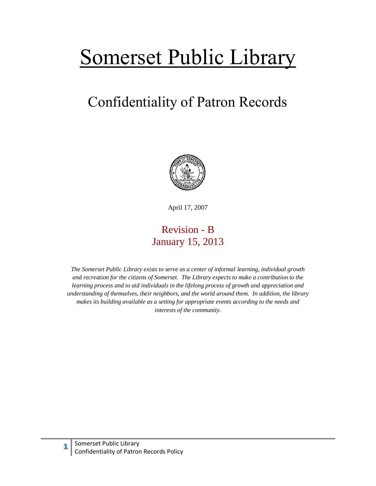## Somerset Public Library

## Confidentiality of Patron Records



April 17, 2007

## Revision - B January 15, 2013

*The Somerset Public Library exists to serve as a center of informal learning, individual growth and recreation for the citizens of Somerset. The Library expects to make a contribution to the learning process and to aid individuals in the lifelong process of growth and appreciation and understanding of themselves, their neighbors, and the world around them. In addition, the library makes its building available as a setting for appropriate events according to the needs and interests of the community.*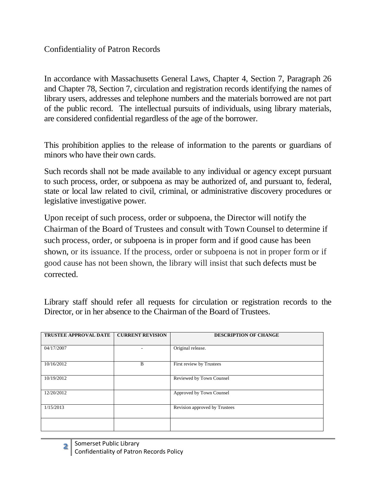Confidentiality of Patron Records

In accordance with Massachusetts General Laws, Chapter 4, Section 7, Paragraph 26 and Chapter 78, Section 7, circulation and registration records identifying the names of library users, addresses and telephone numbers and the materials borrowed are not part of the public record. The intellectual pursuits of individuals, using library materials, are considered confidential regardless of the age of the borrower.

This prohibition applies to the release of information to the parents or guardians of minors who have their own cards.

Such records shall not be made available to any individual or agency except pursuant to such process, order, or subpoena as may be authorized of, and pursuant to, federal, state or local law related to civil, criminal, or administrative discovery procedures or legislative investigative power.

Upon receipt of such process, order or subpoena, the Director will notify the Chairman of the Board of Trustees and consult with Town Counsel to determine if such process, order, or subpoena is in proper form and if good cause has been shown, or its issuance. If the process, order or subpoena is not in proper form or if good cause has not been shown, the library will insist that such defects must be corrected.

Library staff should refer all requests for circulation or registration records to the Director, or in her absence to the Chairman of the Board of Trustees.

| <b>TRUSTEE APPROVAL DATE</b> | <b>CURRENT REVISION</b> | <b>DESCRIPTION OF CHANGE</b>  |
|------------------------------|-------------------------|-------------------------------|
| 04/17/2007                   |                         | Original release.             |
| 10/16/2012                   | B                       | First review by Trustees      |
| 10/19/2012                   |                         | Reviewed by Town Counsel      |
| 12/20/2012                   |                         | Approved by Town Counsel      |
| 1/15/2013                    |                         | Revision approved by Trustees |
|                              |                         |                               |